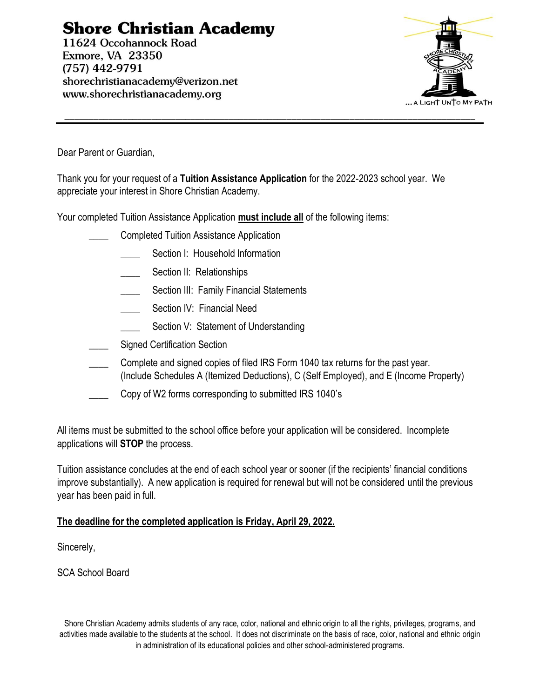# **Shore Christian Academy**

11624 Occohannock Road Exmore, VA 23350  $(757)$  442-9791 shorechristianacademy@verizon.net www.shorechristianacademy.org



Dear Parent or Guardian,

Thank you for your request of a **Tuition Assistance Application** for the 2022-2023 school year. We appreciate your interest in Shore Christian Academy.

Your completed Tuition Assistance Application **must include all** of the following items:

- \_\_\_\_ Completed Tuition Assistance Application
	- Section I: Household Information
	- Section II: Relationships
	- Section III: Family Financial Statements
	- Section IV: Financial Need
	- Section V: Statement of Understanding
- Signed Certification Section
- Complete and signed copies of filed IRS Form 1040 tax returns for the past year. (Include Schedules A (Itemized Deductions), C (Self Employed), and E (Income Property)
- Copy of W2 forms corresponding to submitted IRS 1040's

All items must be submitted to the school office before your application will be considered. Incomplete applications will **STOP** the process.

Tuition assistance concludes at the end of each school year or sooner (if the recipients' financial conditions improve substantially). A new application is required for renewal but will not be considered until the previous year has been paid in full.

#### **The deadline for the completed application is Friday, April 29, 2022.**

Sincerely,

SCA School Board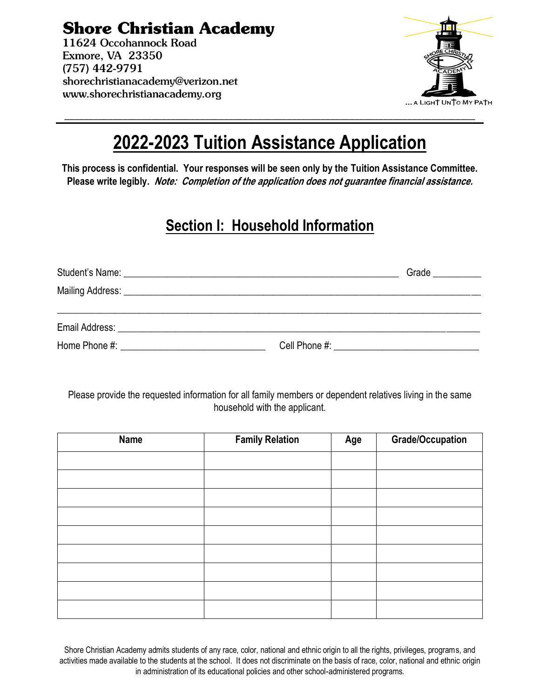**Shore Christian Academy** 

11624 Occohannock Road Exmore, VA 23350  $(757)$  442-9791 shorechristianacademy@verizon.net www.shorechristianacademy.org



# **2022-2023 Tuition Assistance Application**

**This process is confidential. Your responses will be seen only by the Tuition Assistance Committee. Please write legibly. Note: Completion of the application does not guarantee financial assistance.**

## **Section I: Household Information**

|  | Grade __________                                        |
|--|---------------------------------------------------------|
|  |                                                         |
|  |                                                         |
|  |                                                         |
|  | Cell Phone #: <u>__________________________________</u> |

Please provide the requested information for all family members or dependent relatives living in the same household with the applicant.

| <b>Name</b> | <b>Family Relation</b> | Age | <b>Grade/Occupation</b> |
|-------------|------------------------|-----|-------------------------|
|             |                        |     |                         |
|             |                        |     |                         |
|             |                        |     |                         |
|             |                        |     |                         |
|             |                        |     |                         |
|             |                        |     |                         |
|             |                        |     |                         |
|             |                        |     |                         |
|             |                        |     |                         |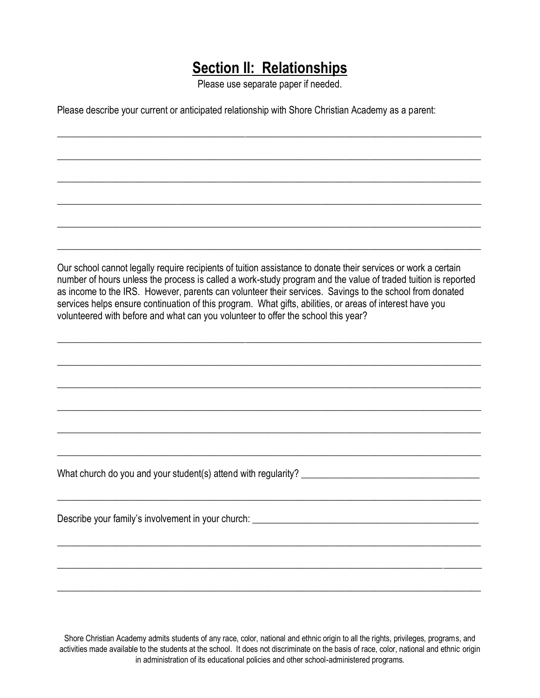### **Section II: Relationships**

Please use separate paper if needed.

\_\_\_\_\_\_\_\_\_\_\_\_\_\_\_\_\_\_\_\_\_\_\_\_\_\_\_\_\_\_\_\_\_\_\_\_\_\_\_\_\_\_\_\_\_\_\_\_\_\_\_\_\_\_\_\_\_\_\_\_\_\_\_\_\_\_\_\_\_\_\_\_\_\_\_\_\_\_\_\_\_\_\_\_\_\_\_\_

\_\_\_\_\_\_\_\_\_\_\_\_\_\_\_\_\_\_\_\_\_\_\_\_\_\_\_\_\_\_\_\_\_\_\_\_\_\_\_\_\_\_\_\_\_\_\_\_\_\_\_\_\_\_\_\_\_\_\_\_\_\_\_\_\_\_\_\_\_\_\_\_\_\_\_\_\_\_\_\_\_\_\_\_\_\_\_\_

\_\_\_\_\_\_\_\_\_\_\_\_\_\_\_\_\_\_\_\_\_\_\_\_\_\_\_\_\_\_\_\_\_\_\_\_\_\_\_\_\_\_\_\_\_\_\_\_\_\_\_\_\_\_\_\_\_\_\_\_\_\_\_\_\_\_\_\_\_\_\_\_\_\_\_\_\_\_\_\_\_\_\_\_\_\_\_\_

\_\_\_\_\_\_\_\_\_\_\_\_\_\_\_\_\_\_\_\_\_\_\_\_\_\_\_\_\_\_\_\_\_\_\_\_\_\_\_\_\_\_\_\_\_\_\_\_\_\_\_\_\_\_\_\_\_\_\_\_\_\_\_\_\_\_\_\_\_\_\_\_\_\_\_\_\_\_\_\_\_\_\_\_\_\_\_\_

\_\_\_\_\_\_\_\_\_\_\_\_\_\_\_\_\_\_\_\_\_\_\_\_\_\_\_\_\_\_\_\_\_\_\_\_\_\_\_\_\_\_\_\_\_\_\_\_\_\_\_\_\_\_\_\_\_\_\_\_\_\_\_\_\_\_\_\_\_\_\_\_\_\_\_\_\_\_\_\_\_\_\_\_\_\_\_\_

\_\_\_\_\_\_\_\_\_\_\_\_\_\_\_\_\_\_\_\_\_\_\_\_\_\_\_\_\_\_\_\_\_\_\_\_\_\_\_\_\_\_\_\_\_\_\_\_\_\_\_\_\_\_\_\_\_\_\_\_\_\_\_\_\_\_\_\_\_\_\_\_\_\_\_\_\_\_\_\_\_\_\_\_\_\_\_\_

Please describe your current or anticipated relationship with Shore Christian Academy as a parent:

Our school cannot legally require recipients of tuition assistance to donate their services or work a certain number of hours unless the process is called a work-study program and the value of traded tuition is reported as income to the IRS. However, parents can volunteer their services. Savings to the school from donated services helps ensure continuation of this program. What gifts, abilities, or areas of interest have you volunteered with before and what can you volunteer to offer the school this year?

\_\_\_\_\_\_\_\_\_\_\_\_\_\_\_\_\_\_\_\_\_\_\_\_\_\_\_\_\_\_\_\_\_\_\_\_\_\_\_\_\_\_\_\_\_\_\_\_\_\_\_\_\_\_\_\_\_\_\_\_\_\_\_\_\_\_\_\_\_\_\_\_\_\_\_\_\_\_\_\_\_\_\_\_\_\_\_\_

\_\_\_\_\_\_\_\_\_\_\_\_\_\_\_\_\_\_\_\_\_\_\_\_\_\_\_\_\_\_\_\_\_\_\_\_\_\_\_\_\_\_\_\_\_\_\_\_\_\_\_\_\_\_\_\_\_\_\_\_\_\_\_\_\_\_\_\_\_\_\_\_\_\_\_\_\_\_\_\_\_\_\_\_\_\_\_\_

\_\_\_\_\_\_\_\_\_\_\_\_\_\_\_\_\_\_\_\_\_\_\_\_\_\_\_\_\_\_\_\_\_\_\_\_\_\_\_\_\_\_\_\_\_\_\_\_\_\_\_\_\_\_\_\_\_\_\_\_\_\_\_\_\_\_\_\_\_\_\_\_\_\_\_\_\_\_\_\_\_\_\_\_\_\_\_\_

\_\_\_\_\_\_\_\_\_\_\_\_\_\_\_\_\_\_\_\_\_\_\_\_\_\_\_\_\_\_\_\_\_\_\_\_\_\_\_\_\_\_\_\_\_\_\_\_\_\_\_\_\_\_\_\_\_\_\_\_\_\_\_\_\_\_\_\_\_\_\_\_\_\_\_\_\_\_\_\_\_\_\_\_\_\_\_\_

\_\_\_\_\_\_\_\_\_\_\_\_\_\_\_\_\_\_\_\_\_\_\_\_\_\_\_\_\_\_\_\_\_\_\_\_\_\_\_\_\_\_\_\_\_\_\_\_\_\_\_\_\_\_\_\_\_\_\_\_\_\_\_\_\_\_\_\_\_\_\_\_\_\_\_\_\_\_\_\_\_\_\_\_\_\_\_\_

\_\_\_\_\_\_\_\_\_\_\_\_\_\_\_\_\_\_\_\_\_\_\_\_\_\_\_\_\_\_\_\_\_\_\_\_\_\_\_\_\_\_\_\_\_\_\_\_\_\_\_\_\_\_\_\_\_\_\_\_\_\_\_\_\_\_\_\_\_\_\_\_\_\_\_\_\_\_\_\_\_\_\_\_\_\_\_\_

\_\_\_\_\_\_\_\_\_\_\_\_\_\_\_\_\_\_\_\_\_\_\_\_\_\_\_\_\_\_\_\_\_\_\_\_\_\_\_\_\_\_\_\_\_\_\_\_\_\_\_\_\_\_\_\_\_\_\_\_\_\_\_\_\_\_\_\_\_\_\_\_\_\_\_\_\_\_\_\_\_\_\_\_\_\_\_\_

\_\_\_\_\_\_\_\_\_\_\_\_\_\_\_\_\_\_\_\_\_\_\_\_\_\_\_\_\_\_\_\_\_\_\_\_\_\_\_\_\_\_\_\_\_\_\_\_\_\_\_\_\_\_\_\_\_\_\_\_\_\_\_\_\_\_\_\_\_\_\_\_\_\_\_\_\_\_\_\_\_\_\_\_\_\_\_\_

\_\_\_\_\_\_\_\_\_\_\_\_\_\_\_\_\_\_\_\_\_\_\_\_\_\_\_\_\_\_\_\_\_\_\_\_\_\_\_\_\_\_\_\_\_\_\_\_\_\_\_\_\_\_\_\_\_\_\_\_\_\_\_\_\_\_\_\_\_\_\_\_\_\_\_\_\_\_\_\_\_\_\_\_\_\_\_\_

\_\_\_\_\_\_\_\_\_\_\_\_\_\_\_\_\_\_\_\_\_\_\_\_\_\_\_\_\_\_\_\_\_\_\_\_\_\_\_\_\_\_\_\_\_\_\_\_\_\_\_\_\_\_\_\_\_\_\_\_\_\_\_\_\_\_\_\_\_\_\_\_\_\_\_\_\_\_\_\_\_\_\_\_\_\_\_\_

What church do you and your student(s) attend with regularity? \_\_\_\_\_\_\_\_\_\_\_\_\_\_\_\_\_\_\_\_\_\_\_\_\_\_\_\_\_\_\_\_\_\_\_\_\_

Describe your family's involvement in your church: \_\_\_\_\_\_\_\_\_\_\_\_\_\_\_\_\_\_\_\_\_\_\_\_\_\_\_\_\_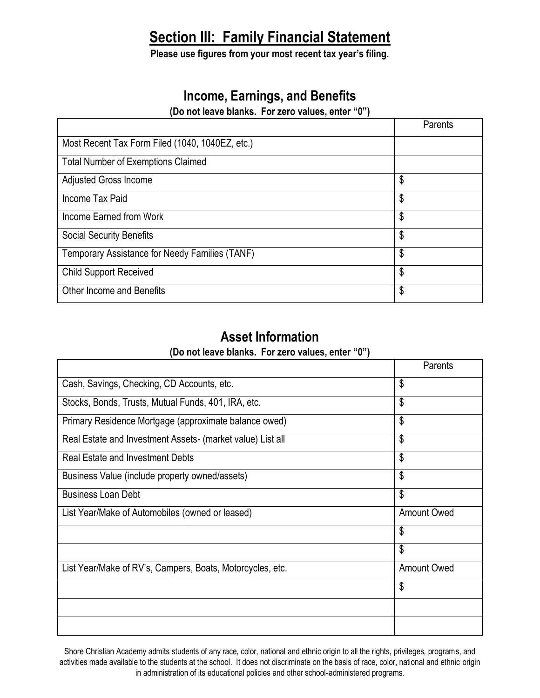## **Section III: Family Financial Statement**

**Please use figures from your most recent tax year's filing.**

#### **Income, Earnings, and Benefits**

**(Do not leave blanks. For zero values, enter "0")**

|                                                 | Parents |
|-------------------------------------------------|---------|
| Most Recent Tax Form Filed (1040, 1040EZ, etc.) |         |
| <b>Total Number of Exemptions Claimed</b>       |         |
| <b>Adjusted Gross Income</b>                    | \$      |
| Income Tax Paid                                 | \$      |
| Income Earned from Work                         | \$      |
| <b>Social Security Benefits</b>                 | \$      |
| Temporary Assistance for Needy Families (TANF)  | \$      |
| <b>Child Support Received</b>                   | \$      |
| Other Income and Benefits                       | \$      |

#### **Asset Information**

| (Do not leave blanks. For zero values, enter "0") |  |  |
|---------------------------------------------------|--|--|
|---------------------------------------------------|--|--|

|                                                            | Parents            |
|------------------------------------------------------------|--------------------|
| Cash, Savings, Checking, CD Accounts, etc.                 | \$                 |
| Stocks, Bonds, Trusts, Mutual Funds, 401, IRA, etc.        | \$                 |
| Primary Residence Mortgage (approximate balance owed)      | \$                 |
| Real Estate and Investment Assets- (market value) List all | \$                 |
| <b>Real Estate and Investment Debts</b>                    | \$                 |
| Business Value (include property owned/assets)             | \$                 |
| <b>Business Loan Debt</b>                                  | \$                 |
| List Year/Make of Automobiles (owned or leased)            | <b>Amount Owed</b> |
|                                                            | \$                 |
|                                                            | \$                 |
| List Year/Make of RV's, Campers, Boats, Motorcycles, etc.  | <b>Amount Owed</b> |
|                                                            | \$                 |
|                                                            |                    |
|                                                            |                    |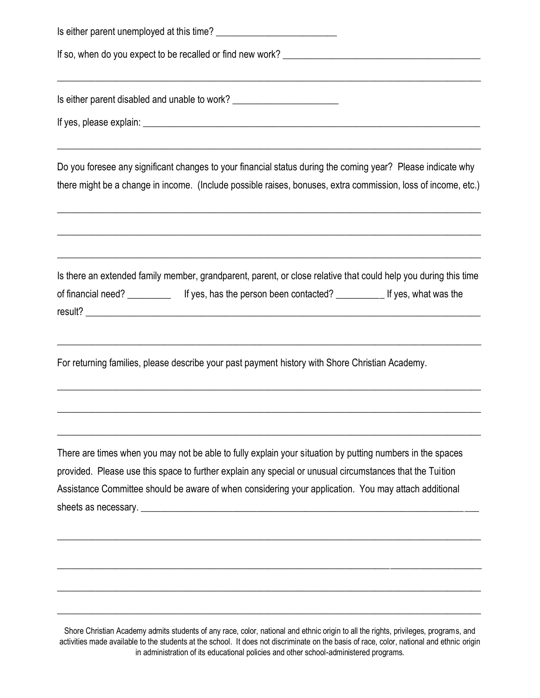| Is either parent disabled and unable to work? __________________________________                                                                                                                                                                                                                                              |
|-------------------------------------------------------------------------------------------------------------------------------------------------------------------------------------------------------------------------------------------------------------------------------------------------------------------------------|
|                                                                                                                                                                                                                                                                                                                               |
| Do you foresee any significant changes to your financial status during the coming year? Please indicate why<br>there might be a change in income. (Include possible raises, bonuses, extra commission, loss of income, etc.)                                                                                                  |
| <u> 1980 - Andrea Santana, Amerikaansk politik (d. 1980)</u><br>Is there an extended family member, grandparent, parent, or close relative that could help you during this time<br>of financial need? _______________ If yes, has the person been contacted? _______________ If yes, what was the                             |
| For returning families, please describe your past payment history with Shore Christian Academy.                                                                                                                                                                                                                               |
| There are times when you may not be able to fully explain your situation by putting numbers in the spaces<br>provided. Please use this space to further explain any special or unusual circumstances that the Tuition<br>Assistance Committee should be aware of when considering your application. You may attach additional |
|                                                                                                                                                                                                                                                                                                                               |

Shore Christian Academy admits students of any race, color, national and ethnic origin to all the rights, privileges, programs, and activities made available to the students at the school. It does not discriminate on the basis of race, color, national and ethnic origin in administration of its educational policies and other school-administered programs.

\_\_\_\_\_\_\_\_\_\_\_\_\_\_\_\_\_\_\_\_\_\_\_\_\_\_\_\_\_\_\_\_\_\_\_\_\_\_\_\_\_\_\_\_\_\_\_\_\_\_\_\_\_\_\_\_\_\_\_\_\_\_\_\_\_\_\_\_\_\_\_\_\_\_\_\_\_\_\_\_\_\_\_\_\_\_\_\_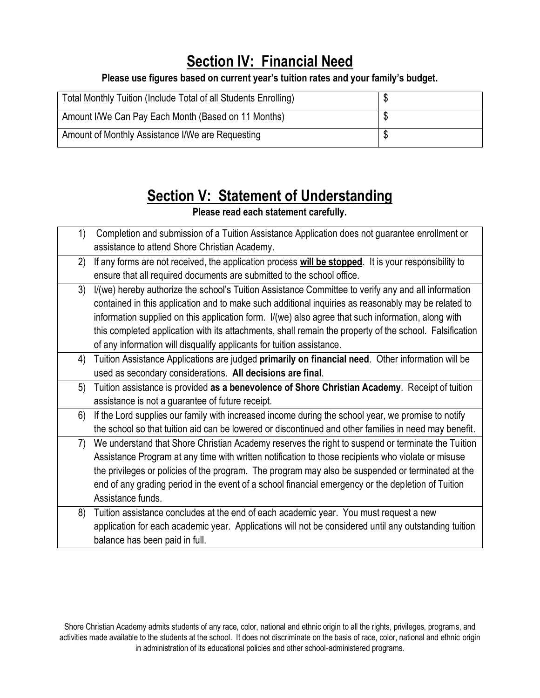# **Section IV: Financial Need**

**Please use figures based on current year's tuition rates and your family's budget.**

| Total Monthly Tuition (Include Total of all Students Enrolling) | ື |
|-----------------------------------------------------------------|---|
| Amount I/We Can Pay Each Month (Based on 11 Months)             |   |
| Amount of Monthly Assistance I/We are Requesting                | Φ |

# **Section V: Statement of Understanding**

**Please read each statement carefully.**

| 1) | Completion and submission of a Tuition Assistance Application does not guarantee enrollment or          |
|----|---------------------------------------------------------------------------------------------------------|
|    | assistance to attend Shore Christian Academy.                                                           |
| 2) | If any forms are not received, the application process will be stopped. It is your responsibility to    |
|    | ensure that all required documents are submitted to the school office.                                  |
| 3) | I/(we) hereby authorize the school's Tuition Assistance Committee to verify any and all information     |
|    | contained in this application and to make such additional inquiries as reasonably may be related to     |
|    | information supplied on this application form. I/(we) also agree that such information, along with      |
|    | this completed application with its attachments, shall remain the property of the school. Falsification |
|    | of any information will disqualify applicants for tuition assistance.                                   |
| 4) | Tuition Assistance Applications are judged primarily on financial need. Other information will be       |
|    | used as secondary considerations. All decisions are final.                                              |
| 5) | Tuition assistance is provided as a benevolence of Shore Christian Academy. Receipt of tuition          |
|    | assistance is not a guarantee of future receipt.                                                        |
| 6) | If the Lord supplies our family with increased income during the school year, we promise to notify      |
|    | the school so that tuition aid can be lowered or discontinued and other families in need may benefit.   |
| 7) | We understand that Shore Christian Academy reserves the right to suspend or terminate the Tuition       |
|    | Assistance Program at any time with written notification to those recipients who violate or misuse      |
|    | the privileges or policies of the program. The program may also be suspended or terminated at the       |
|    | end of any grading period in the event of a school financial emergency or the depletion of Tuition      |
|    | Assistance funds.                                                                                       |
| 8) | Tuition assistance concludes at the end of each academic year. You must request a new                   |
|    | application for each academic year. Applications will not be considered until any outstanding tuition   |
|    | balance has been paid in full.                                                                          |
|    |                                                                                                         |